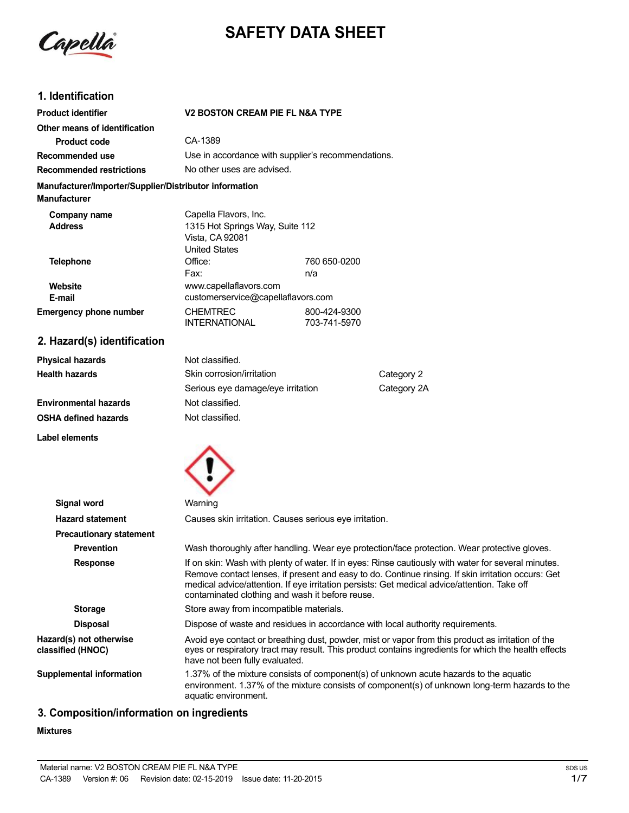

# **SAFETY DATA SHEET**

# **1. Identification**

| <b>Product identifier</b>                                                     | <b>V2 BOSTON CREAM PIE FL N&amp;A TYPE</b>                                                          |                              |
|-------------------------------------------------------------------------------|-----------------------------------------------------------------------------------------------------|------------------------------|
| Other means of identification                                                 |                                                                                                     |                              |
| <b>Product code</b>                                                           | CA-1389                                                                                             |                              |
| Recommended use                                                               | Use in accordance with supplier's recommendations.                                                  |                              |
| <b>Recommended restrictions</b>                                               | No other uses are advised.                                                                          |                              |
| Manufacturer/Importer/Supplier/Distributor information<br><b>Manufacturer</b> |                                                                                                     |                              |
| Company name<br><b>Address</b>                                                | Capella Flavors, Inc.<br>1315 Hot Springs Way, Suite 112<br>Vista, CA 92081<br><b>United States</b> |                              |
| Telephone                                                                     | Office:<br>Fax:                                                                                     | 760 650-0200<br>n/a          |
| Website<br>E-mail                                                             | www.capellaflavors.com<br>customerservice@capellaflavors.com                                        |                              |
| <b>Emergency phone number</b>                                                 | <b>CHEMTREC</b><br><b>INTERNATIONAL</b>                                                             | 800-424-9300<br>703-741-5970 |
| 2. Hazard(s) identification                                                   |                                                                                                     |                              |
| <b>Physical hazards</b>                                                       | Not classified.                                                                                     |                              |

| <b>Physical hazards</b>      | Not classified.                   |             |
|------------------------------|-----------------------------------|-------------|
| <b>Health hazards</b>        | Skin corrosion/irritation         | Category 2  |
|                              | Serious eye damage/eye irritation | Category 2A |
| <b>Environmental hazards</b> | Not classified.                   |             |
| <b>OSHA defined hazards</b>  | Not classified.                   |             |



| Warning                                                                                                                                                                                                                                                                                                                                                      |
|--------------------------------------------------------------------------------------------------------------------------------------------------------------------------------------------------------------------------------------------------------------------------------------------------------------------------------------------------------------|
|                                                                                                                                                                                                                                                                                                                                                              |
| Causes skin irritation. Causes serious eye irritation.                                                                                                                                                                                                                                                                                                       |
|                                                                                                                                                                                                                                                                                                                                                              |
| Wash thoroughly after handling. Wear eye protection/face protection. Wear protective gloves.                                                                                                                                                                                                                                                                 |
| If on skin: Wash with plenty of water. If in eyes: Rinse cautiously with water for several minutes.<br>Remove contact lenses, if present and easy to do. Continue rinsing. If skin irritation occurs: Get<br>medical advice/attention. If eye irritation persists: Get medical advice/attention. Take off<br>contaminated clothing and wash it before reuse. |
| Store away from incompatible materials.                                                                                                                                                                                                                                                                                                                      |
| Dispose of waste and residues in accordance with local authority requirements.                                                                                                                                                                                                                                                                               |
| Avoid eye contact or breathing dust, powder, mist or vapor from this product as irritation of the<br>eyes or respiratory tract may result. This product contains ingredients for which the health effects<br>have not been fully evaluated.                                                                                                                  |
| 1.37% of the mixture consists of component(s) of unknown acute hazards to the aquatic<br>environment. 1.37% of the mixture consists of component(s) of unknown long-term hazards to the<br>aquatic environment.                                                                                                                                              |
| 2. Campaalilan linfarmatian an ingrediente                                                                                                                                                                                                                                                                                                                   |

# **3. Composition/information on ingredients**

# **Mixtures**

**Label elements**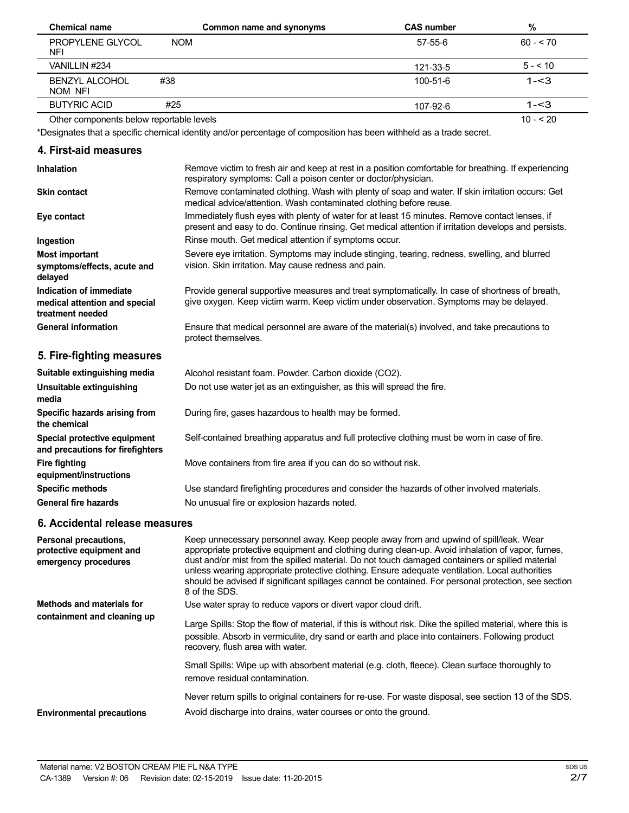| <b>Chemical name</b>                     |            | Common name and synonyms | <b>CAS number</b> | %          |
|------------------------------------------|------------|--------------------------|-------------------|------------|
| PROPYLENE GLYCOL<br><b>NFI</b>           | <b>NOM</b> |                          | 57-55-6           | $60 - 70$  |
| VANILLIN #234                            |            |                          | 121-33-5          | $5 - 10$   |
| <b>BENZYL ALCOHOL</b><br>NOM NFI         | #38        |                          | $100 - 51 - 6$    | $1 - 3$    |
| <b>BUTYRIC ACID</b>                      | #25        |                          | 107-92-6          | $1 - 3$    |
| Other components below reportable levels |            |                          |                   | $10 - 520$ |

\*Designates that a specific chemical identity and/or percentage of composition has been withheld as a trade secret.

### **4. First-aid measures**

| Inhalation                                                                   | Remove victim to fresh air and keep at rest in a position comfortable for breathing. If experiencing<br>respiratory symptoms: Call a poison center or doctor/physician.                                |
|------------------------------------------------------------------------------|--------------------------------------------------------------------------------------------------------------------------------------------------------------------------------------------------------|
| <b>Skin contact</b>                                                          | Remove contaminated clothing. Wash with plenty of soap and water. If skin irritation occurs: Get<br>medical advice/attention. Wash contaminated clothing before reuse.                                 |
| Eye contact                                                                  | Immediately flush eyes with plenty of water for at least 15 minutes. Remove contact lenses, if<br>present and easy to do. Continue rinsing. Get medical attention if irritation develops and persists. |
| Ingestion                                                                    | Rinse mouth. Get medical attention if symptoms occur.                                                                                                                                                  |
| <b>Most important</b><br>symptoms/effects, acute and<br>delayed              | Severe eye irritation. Symptoms may include stinging, tearing, redness, swelling, and blurred<br>vision. Skin irritation. May cause redness and pain.                                                  |
| Indication of immediate<br>medical attention and special<br>treatment needed | Provide general supportive measures and treat symptomatically. In case of shortness of breath,<br>give oxygen. Keep victim warm. Keep victim under observation. Symptoms may be delayed.               |
| <b>General information</b>                                                   | Ensure that medical personnel are aware of the material(s) involved, and take precautions to<br>protect themselves.                                                                                    |
| 5. Fire-fighting measures                                                    |                                                                                                                                                                                                        |
| Suitable extinguishing media                                                 | Alcohol resistant foam. Powder. Carbon dioxide (CO2).                                                                                                                                                  |
| Unsuitable extinguishing<br>media                                            | Do not use water jet as an extinguisher, as this will spread the fire.                                                                                                                                 |
| Specific hazards arising from<br>the chemical                                | During fire, gases hazardous to health may be formed.                                                                                                                                                  |
| Special protective equipment<br>and precautions for firefighters             | Self-contained breathing apparatus and full protective clothing must be worn in case of fire.                                                                                                          |
| <b>Fire fighting</b><br>equipment/instructions                               | Move containers from fire area if you can do so without risk.                                                                                                                                          |
| <b>Specific methods</b>                                                      | Use standard firefighting procedures and consider the hazards of other involved materials.                                                                                                             |
| <b>General fire hazards</b>                                                  | No unusual fire or explosion hazards noted.                                                                                                                                                            |
| 6. Accidental release measures                                               |                                                                                                                                                                                                        |
| Personal precautions,                                                        | Keep unnecessary personnel away. Keep people away from and upwind of spill/leak. Wear                                                                                                                  |

#### **protective equipment and emergency procedures Methods and materials for containment and cleaning up Environmental precautions** appropriate protective equipment and clothing during clean-up. Avoid inhalation of vapor, fumes, dust and/or mist from the spilled material. Do not touch damaged containers or spilled material unless wearing appropriate protective clothing. Ensure adequate ventilation. Local authorities should be advised if significant spillages cannot be contained. For personal protection, see section 8 of the SDS. Use water spray to reduce vapors or divert vapor cloud drift. Large Spills: Stop the flow of material, if this is without risk. Dike the spilled material, where this is possible. Absorb in vermiculite, dry sand or earth and place into containers. Following product recovery, flush area with water. Small Spills: Wipe up with absorbent material (e.g. cloth, fleece). Clean surface thoroughly to remove residual contamination. Never return spills to original containers for re-use. For waste disposal, see section 13 of the SDS. Avoid discharge into drains, water courses or onto the ground.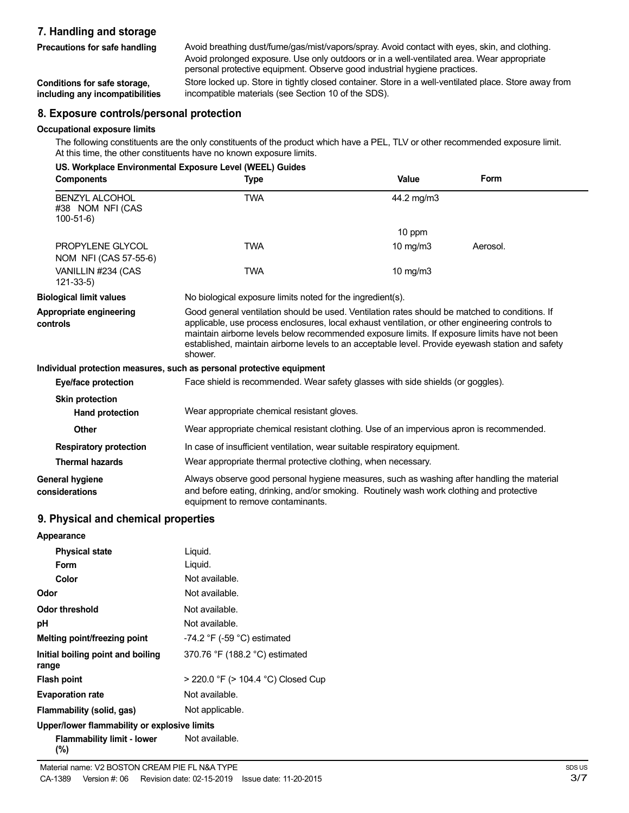# **7. Handling and storage**

**Precautions for safe handling**

Avoid breathing dust/fume/gas/mist/vapors/spray. Avoid contact with eyes, skin, and clothing. Avoid prolonged exposure. Use only outdoors or in a well-ventilated area. Wear appropriate personal protective equipment. Observe good industrial hygiene practices.

**Conditions for safe storage, including any incompatibilities** Store locked up. Store in tightly closed container. Store in a well-ventilated place. Store away from incompatible materials (see Section 10 of the SDS).

# **8. Exposure controls/personal protection**

### **Occupational exposure limits**

The following constituents are the only constituents of the product which have a PEL, TLV or other recommended exposure limit. At this time, the other constituents have no known exposure limits.

|                                                         | US. Workplace Environmental Exposure Level (WEEL) Guides                                                                                                                                                                                                                                                                                                                                                         |                   |          |
|---------------------------------------------------------|------------------------------------------------------------------------------------------------------------------------------------------------------------------------------------------------------------------------------------------------------------------------------------------------------------------------------------------------------------------------------------------------------------------|-------------------|----------|
| <b>Components</b>                                       | Type                                                                                                                                                                                                                                                                                                                                                                                                             | Value             | Form     |
| <b>BENZYL ALCOHOL</b><br>#38 NOM NFI (CAS<br>$100-51-6$ | <b>TWA</b>                                                                                                                                                                                                                                                                                                                                                                                                       | 44.2 mg/m3        |          |
|                                                         |                                                                                                                                                                                                                                                                                                                                                                                                                  | 10 ppm            |          |
| PROPYLENE GLYCOL<br>NOM NFI (CAS 57-55-6)               | <b>TWA</b>                                                                                                                                                                                                                                                                                                                                                                                                       | $10 \text{ mg/m}$ | Aerosol. |
| VANILLIN #234 (CAS<br>$121 - 33 - 5$                    | <b>TWA</b>                                                                                                                                                                                                                                                                                                                                                                                                       | 10 mg/m3          |          |
| <b>Biological limit values</b>                          | No biological exposure limits noted for the ingredient(s).                                                                                                                                                                                                                                                                                                                                                       |                   |          |
| Appropriate engineering<br>controls                     | Good general ventilation should be used. Ventilation rates should be matched to conditions. If<br>applicable, use process enclosures, local exhaust ventilation, or other engineering controls to<br>maintain airborne levels below recommended exposure limits. If exposure limits have not been<br>established, maintain airborne levels to an acceptable level. Provide eyewash station and safety<br>shower. |                   |          |
|                                                         | Individual protection measures, such as personal protective equipment                                                                                                                                                                                                                                                                                                                                            |                   |          |
| <b>Eye/face protection</b>                              | Face shield is recommended. Wear safety glasses with side shields (or goggles).                                                                                                                                                                                                                                                                                                                                  |                   |          |
| <b>Skin protection</b>                                  |                                                                                                                                                                                                                                                                                                                                                                                                                  |                   |          |
| Hand protection                                         | Wear appropriate chemical resistant gloves.                                                                                                                                                                                                                                                                                                                                                                      |                   |          |
| <b>Other</b>                                            | Wear appropriate chemical resistant clothing. Use of an impervious apron is recommended.                                                                                                                                                                                                                                                                                                                         |                   |          |
| <b>Respiratory protection</b>                           | In case of insufficient ventilation, wear suitable respiratory equipment.                                                                                                                                                                                                                                                                                                                                        |                   |          |
| <b>Thermal hazards</b>                                  | Wear appropriate thermal protective clothing, when necessary.                                                                                                                                                                                                                                                                                                                                                    |                   |          |
| General hygiene<br>considerations                       | Always observe good personal hygiene measures, such as washing after handling the material<br>and before eating, drinking, and/or smoking. Routinely wash work clothing and protective<br>equipment to remove contaminants.                                                                                                                                                                                      |                   |          |

# **9. Physical and chemical properties**

| Appearance                                   |                                    |
|----------------------------------------------|------------------------------------|
| <b>Physical state</b>                        | Liquid.                            |
| Form                                         | Liquid.                            |
| Color                                        | Not available.                     |
| Odor                                         | Not available.                     |
| Odor threshold                               | Not available.                     |
| рH                                           | Not available.                     |
| Melting point/freezing point                 | $-74.2$ °F ( $-59$ °C) estimated   |
| Initial boiling point and boiling<br>range   | 370.76 °F (188.2 °C) estimated     |
| <b>Flash point</b>                           | > 220.0 °F (> 104.4 °C) Closed Cup |
| <b>Evaporation rate</b>                      | Not available.                     |
| Flammability (solid, gas)                    | Not applicable.                    |
| Upper/lower flammability or explosive limits |                                    |
| Flammability limit - lower<br>$(\%)$         | Not available.                     |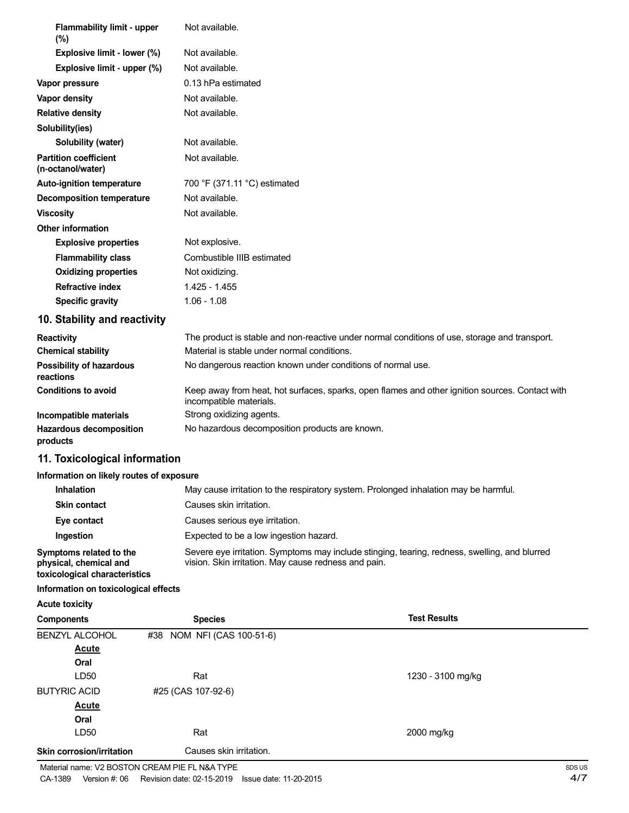| <b>Flammability limit - upper</b><br>$(\%)$       | Not available.                                                                                                                               |
|---------------------------------------------------|----------------------------------------------------------------------------------------------------------------------------------------------|
| Explosive limit - lower (%)                       | Not available.                                                                                                                               |
| Explosive limit - upper (%)                       | Not available.                                                                                                                               |
| Vapor pressure                                    | 0.13 hPa estimated                                                                                                                           |
| <b>Vapor density</b>                              | Not available.                                                                                                                               |
| <b>Relative density</b>                           | Not available.                                                                                                                               |
| Solubility(ies)                                   |                                                                                                                                              |
| Solubility (water)                                | Not available.                                                                                                                               |
| <b>Partition coefficient</b><br>(n-octanol/water) | Not available.                                                                                                                               |
| <b>Auto-ignition temperature</b>                  | 700 °F (371.11 °C) estimated                                                                                                                 |
| <b>Decomposition temperature</b>                  | Not available.                                                                                                                               |
| <b>Viscosity</b>                                  | Not available.                                                                                                                               |
| <b>Other information</b>                          |                                                                                                                                              |
| <b>Explosive properties</b>                       | Not explosive.                                                                                                                               |
| <b>Flammability class</b>                         | Combustible IIIB estimated                                                                                                                   |
| <b>Oxidizing properties</b>                       | Not oxidizing.                                                                                                                               |
| <b>Refractive index</b>                           | 1.425 - 1.455                                                                                                                                |
| <b>Specific gravity</b>                           | $1.06 - 1.08$                                                                                                                                |
| 10. Stability and reactivity                      |                                                                                                                                              |
| <b>Reactivity</b><br><b>Chemical stability</b>    | The product is stable and non-reactive under normal conditions of use, storage and transport.<br>Material is stable under normal conditions. |
| <b>Possibility of hazardous</b><br>reactions      | No dangerous reaction known under conditions of normal use.                                                                                  |
| <b>Conditions to avoid</b>                        | Keep away from heat, hot surfaces, sparks, open flames and other ignition sources. Contact with<br>incompatible materials.                   |
| Incompatible materials                            | Strong oxidizing agents.                                                                                                                     |
| <b>Hazardous decomposition</b><br>products        | No hazardous decomposition products are known.                                                                                               |
| 11. Toxicological information                     |                                                                                                                                              |
| Information on likely routes of exposure          |                                                                                                                                              |
| <b>Inhalation</b>                                 | May cause irritation to the respiratory system. Prolonged inhalation may be harmful.                                                         |
| <b>Skin contact</b>                               | Causes skin irritation.                                                                                                                      |
| Eve contact                                       | Causes serious eye irritation.                                                                                                               |

**Ingestion** Expected to be a low ingestion hazard.

**Symptoms related to the physical, chemical and** Severe eye irritation. Symptoms may include stinging, tearing, redness, swelling, and blurred vision. Skin irritation. May cause redness and pain. **toxicological characteristics**

### **Information on toxicological effects**

**Acute toxicity**

| <b>Components</b>                | <b>Species</b>             | <b>Test Results</b> |  |
|----------------------------------|----------------------------|---------------------|--|
| <b>BENZYL ALCOHOL</b>            | #38 NOM NFI (CAS 100-51-6) |                     |  |
| <b>Acute</b>                     |                            |                     |  |
| Oral                             |                            |                     |  |
| LD50                             | Rat                        | 1230 - 3100 mg/kg   |  |
| <b>BUTYRIC ACID</b>              | #25 (CAS 107-92-6)         |                     |  |
| <b>Acute</b>                     |                            |                     |  |
| Oral                             |                            |                     |  |
| LD50                             | Rat                        | 2000 mg/kg          |  |
| <b>Skin corrosion/irritation</b> | Causes skin irritation.    |                     |  |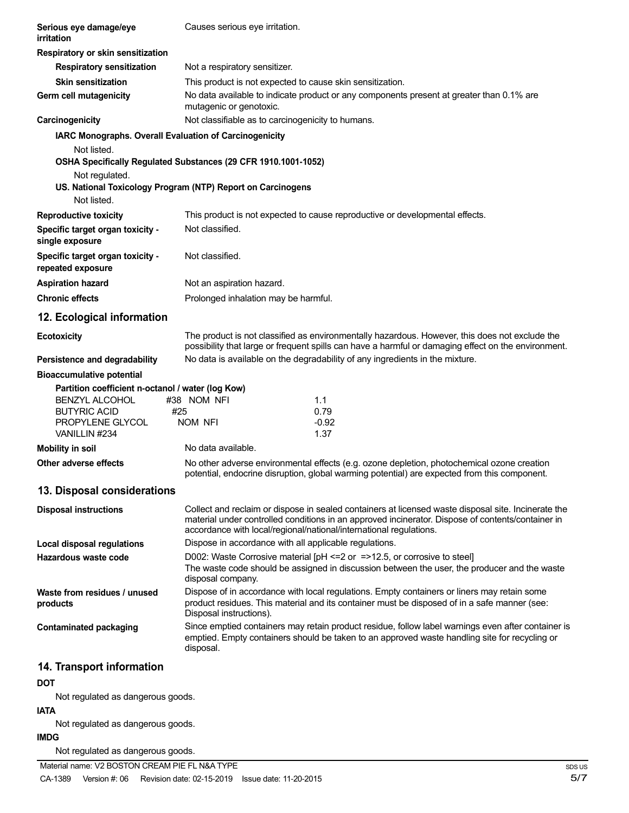| Serious eye damage/eye<br>irritation                   | Causes serious eye irritation.                                                                                                                                                                                                                                                 |
|--------------------------------------------------------|--------------------------------------------------------------------------------------------------------------------------------------------------------------------------------------------------------------------------------------------------------------------------------|
| Respiratory or skin sensitization                      |                                                                                                                                                                                                                                                                                |
| <b>Respiratory sensitization</b>                       | Not a respiratory sensitizer.                                                                                                                                                                                                                                                  |
| <b>Skin sensitization</b>                              | This product is not expected to cause skin sensitization.                                                                                                                                                                                                                      |
| Germ cell mutagenicity                                 | No data available to indicate product or any components present at greater than 0.1% are<br>mutagenic or genotoxic.                                                                                                                                                            |
| Carcinogenicity                                        | Not classifiable as to carcinogenicity to humans.                                                                                                                                                                                                                              |
| IARC Monographs. Overall Evaluation of Carcinogenicity |                                                                                                                                                                                                                                                                                |
| Not listed.                                            |                                                                                                                                                                                                                                                                                |
|                                                        | OSHA Specifically Regulated Substances (29 CFR 1910.1001-1052)                                                                                                                                                                                                                 |
| Not regulated.                                         |                                                                                                                                                                                                                                                                                |
| Not listed.                                            | US. National Toxicology Program (NTP) Report on Carcinogens                                                                                                                                                                                                                    |
|                                                        |                                                                                                                                                                                                                                                                                |
| <b>Reproductive toxicity</b>                           | This product is not expected to cause reproductive or developmental effects.                                                                                                                                                                                                   |
| Specific target organ toxicity -<br>single exposure    | Not classified.                                                                                                                                                                                                                                                                |
| Specific target organ toxicity -<br>repeated exposure  | Not classified.                                                                                                                                                                                                                                                                |
| <b>Aspiration hazard</b>                               | Not an aspiration hazard.                                                                                                                                                                                                                                                      |
| <b>Chronic effects</b>                                 | Prolonged inhalation may be harmful.                                                                                                                                                                                                                                           |
| 12. Ecological information                             |                                                                                                                                                                                                                                                                                |
| <b>Ecotoxicity</b>                                     | The product is not classified as environmentally hazardous. However, this does not exclude the<br>possibility that large or frequent spills can have a harmful or damaging effect on the environment.                                                                          |
| Persistence and degradability                          | No data is available on the degradability of any ingredients in the mixture.                                                                                                                                                                                                   |
| <b>Bioaccumulative potential</b>                       |                                                                                                                                                                                                                                                                                |
| Partition coefficient n-octanol / water (log Kow)      |                                                                                                                                                                                                                                                                                |
| <b>BENZYL ALCOHOL</b>                                  | #38 NOM NFI<br>1.1                                                                                                                                                                                                                                                             |
| <b>BUTYRIC ACID</b>                                    | 0.79<br>#25                                                                                                                                                                                                                                                                    |
| PROPYLENE GLYCOL<br>VANILLIN #234                      | $-0.92$<br>NOM NFI<br>1.37                                                                                                                                                                                                                                                     |
| <b>Mobility in soil</b>                                | No data available.                                                                                                                                                                                                                                                             |
| Other adverse effects                                  |                                                                                                                                                                                                                                                                                |
|                                                        | No other adverse environmental effects (e.g. ozone depletion, photochemical ozone creation<br>potential, endocrine disruption, global warming potential) are expected from this component.                                                                                     |
| 13. Disposal considerations                            |                                                                                                                                                                                                                                                                                |
| <b>Disposal instructions</b>                           | Collect and reclaim or dispose in sealed containers at licensed waste disposal site. Incinerate the<br>material under controlled conditions in an approved incinerator. Dispose of contents/container in<br>accordance with local/regional/national/international regulations. |
| <b>Local disposal regulations</b>                      | Dispose in accordance with all applicable regulations.                                                                                                                                                                                                                         |
| Hazardous waste code                                   | D002: Waste Corrosive material [pH <= 2 or = > 12.5, or corrosive to steel]<br>The waste code should be assigned in discussion between the user, the producer and the waste<br>disposal company.                                                                               |
| Waste from residues / unused<br>products               | Dispose of in accordance with local regulations. Empty containers or liners may retain some<br>product residues. This material and its container must be disposed of in a safe manner (see:<br>Disposal instructions).                                                         |
| <b>Contaminated packaging</b>                          | Since emptied containers may retain product residue, follow label warnings even after container is<br>emptied. Empty containers should be taken to an approved waste handling site for recycling or<br>disposal.                                                               |
| 14. Transport information                              |                                                                                                                                                                                                                                                                                |

# **DOT**

Not regulated as dangerous goods.

# **IATA**

Not regulated as dangerous goods.

# **IMDG**

Not regulated as dangerous goods.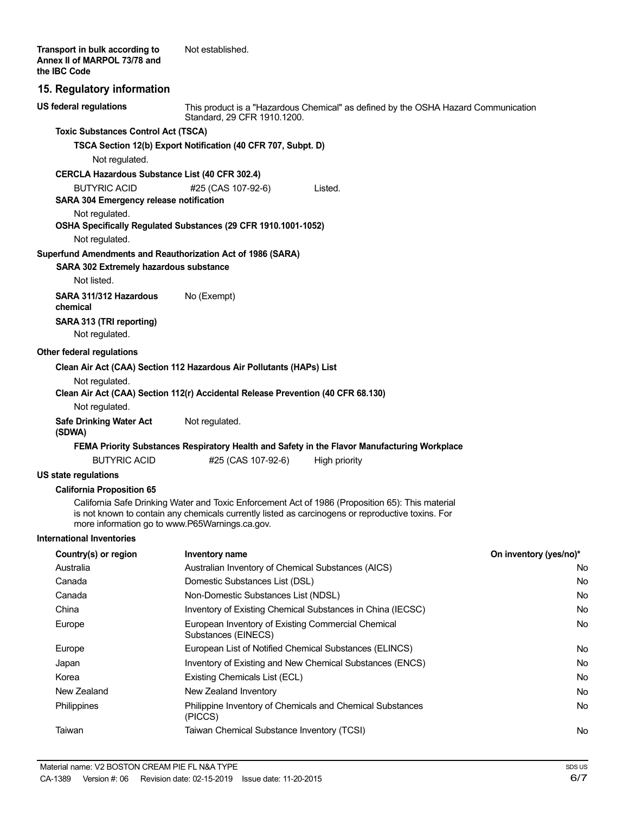**US federal regulations**

This product is a "Hazardous Chemical" as defined by the OSHA Hazard Communication Standard, 29 CFR 1910.1200.

**Toxic Substances Control Act (TSCA)**

**TSCA Section 12(b) Export Notification (40 CFR 707, Subpt. D)**

Not regulated.

**CERCLA Hazardous Substance List (40 CFR 302.4)**

BUTYRIC ACID #25 (CAS 107-92-6) Listed.

**SARA 304 Emergency release notification**

Not regulated.

# **OSHA Specifically Regulated Substances (29 CFR 1910.1001-1052)**

Not regulated.

# **Superfund Amendments and Reauthorization Act of 1986 (SARA)**

**SARA 302 Extremely hazardous substance**

Not listed.

**SARA 311/312 Hazardous** No (Exempt) **chemical SARA 313 (TRI reporting)** Not regulated.

### **Other federal regulations**

**Clean Air Act (CAA) Section 112 Hazardous Air Pollutants (HAPs) List**

Not regulated.

**Clean Air Act (CAA) Section 112(r) Accidental Release Prevention (40 CFR 68.130)**

Not regulated.

**Safe Drinking Water Act** Not regulated. **(SDWA)**

# **FEMA Priority Substances Respiratory Health and Safety in the Flavor Manufacturing Workplace**

| <b>BUTYRIC ACID</b> | #25 (CAS 107-92-6) | High priority |
|---------------------|--------------------|---------------|

# **US state regulations**

# **California Proposition 65**

California Safe Drinking Water and Toxic Enforcement Act of 1986 (Proposition 65): This material is not known to contain any chemicals currently listed as carcinogens or reproductive toxins. For more information go to www.P65Warnings.ca.gov.

#### **International Inventories**

| Country(s) or region | Inventory name                                                            | On inventory (yes/no)* |
|----------------------|---------------------------------------------------------------------------|------------------------|
| Australia            | Australian Inventory of Chemical Substances (AICS)                        | <b>No</b>              |
| Canada               | Domestic Substances List (DSL)                                            | No                     |
| Canada               | Non-Domestic Substances List (NDSL)                                       | No                     |
| China                | Inventory of Existing Chemical Substances in China (IECSC)                | No                     |
| Europe               | European Inventory of Existing Commercial Chemical<br>Substances (EINECS) | No                     |
| Europe               | European List of Notified Chemical Substances (ELINCS)                    | <b>No</b>              |
| Japan                | Inventory of Existing and New Chemical Substances (ENCS)                  | <b>No</b>              |
| Korea                | Existing Chemicals List (ECL)                                             | No                     |
| New Zealand          | New Zealand Inventory                                                     | <b>No</b>              |
| Philippines          | Philippine Inventory of Chemicals and Chemical Substances<br>(PICCS)      | No                     |
| Taiwan               | Taiwan Chemical Substance Inventory (TCSI)                                | No                     |